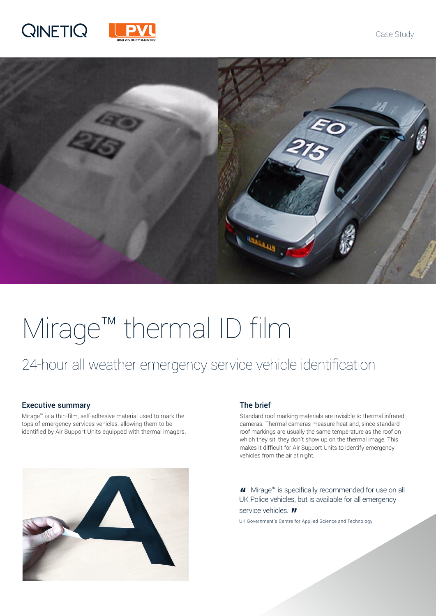



# Mirage™ thermal ID film

## 24-hour all weather emergency service vehicle identification

#### Executive summary

Mirage™ is a thin-film, self-adhesive material used to mark the tops of emergency services vehicles, allowing them to be identified by Air Support Units equipped with thermal imagers.



#### The brief

Standard roof marking materials are invisible to thermal infrared cameras. Thermal cameras measure heat and, since standard roof markings are usually the same temperature as the roof on which they sit, they don't show up on the thermal image. This makes it difficult for Air Support Units to identify emergency vehicles from the air at night.

**"** Mirage™ is specifically recommended for use on all UK Police vehicles, but is available for all emergency service vehicles. **II** 

Service vehicles. **II** Servented Science and Technology<br>**UK Government's Centre for Applied Science and Technology**